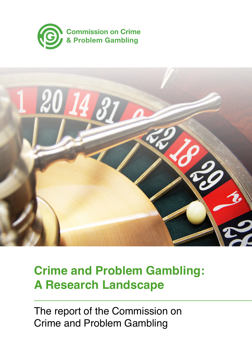



# **Crime and Problem Gambling: A Research Landscape**

The report of the Commission on Crime and Problem Gambling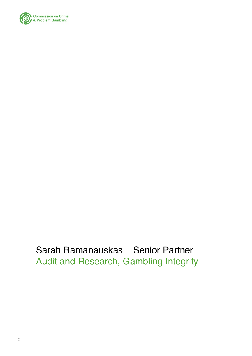

Sarah Ramanauskas | Senior Partner Audit and Research, Gambling Integrity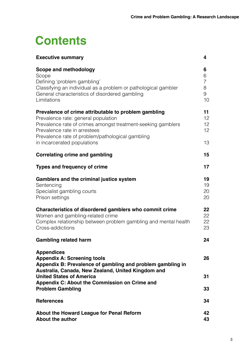# **Contents**

| <b>Executive summary</b>                                                                                                                                                                                                                                                       | 4                                        |
|--------------------------------------------------------------------------------------------------------------------------------------------------------------------------------------------------------------------------------------------------------------------------------|------------------------------------------|
| Scope and methodology<br>Scope<br>Defining 'problem gambling'<br>Classifying an individual as a problem or pathological gambler<br>General characteristics of disordered gambling<br>Limitations                                                                               | 6<br>6<br>$\overline{7}$<br>8<br>9<br>10 |
| Prevalence of crime attributable to problem gambling<br>Prevalence rate: general population<br>Prevalence rate of crimes amongst treatment-seeking gamblers<br>Prevalence rate in arrestees<br>Prevalence rate of problem/pathological gambling<br>in incarcerated populations | 11<br>12<br>12<br>12<br>13               |
| <b>Correlating crime and gambling</b>                                                                                                                                                                                                                                          | 15                                       |
| <b>Types and frequency of crime</b>                                                                                                                                                                                                                                            | 17                                       |
| Gamblers and the criminal justice system<br>Sentencing<br>Specialist gambling courts<br>Prison settings                                                                                                                                                                        | 19<br>19<br>20<br>20                     |
| Characteristics of disordered gamblers who commit crime<br>Women and gambling-related crime<br>Complex relationship between problem gambling and mental health<br>Cross-addictions                                                                                             | 22<br>22<br>22<br>23                     |
| <b>Gambling related harm</b>                                                                                                                                                                                                                                                   | 24                                       |
| <b>Appendices</b><br><b>Appendix A: Screening tools</b><br>Appendix B: Prevalence of gambling and problem gambling in<br>Australia, Canada, New Zealand, United Kingdom and                                                                                                    | 26                                       |
| <b>United States of America</b><br>Appendix C: About the Commission on Crime and                                                                                                                                                                                               | 31                                       |
| <b>Problem Gambling</b>                                                                                                                                                                                                                                                        | 33                                       |
| <b>References</b>                                                                                                                                                                                                                                                              | 34                                       |
| About the Howard League for Penal Reform<br><b>About the author</b>                                                                                                                                                                                                            | 42<br>43                                 |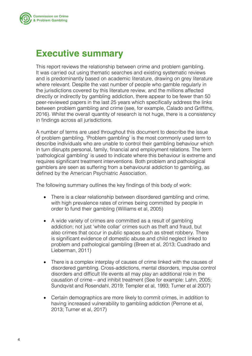<span id="page-3-0"></span>

### **Executive summary**

This report reviews the relationship between crime and problem gambling. It was carried out using thematic searches and existing systematic reviews and is predominantly based on academic literature, drawing on grey literature where relevant. Despite the vast number of people who gamble regularly in the jurisdictions covered by this literature review, and the millions affected directly or indirectly by gambling addiction, there appear to be fewer than 50 peer-reviewed papers in the last 25 years which specifically address the links between problem gambling and crime (see, for example, Calado and Griffiths, 2016). Whilst the overall quantity of research is not huge, there is a consistency in findings across all jurisdictions.

A number of terms are used throughout this document to describe the issue of problem gambling. 'Problem gambling' is the most commonly used term to describe individuals who are unable to control their gambling behaviour which in turn disrupts personal, family, financial and employment relations. The term 'pathological gambling' is used to indicate where this behaviour is extreme and requires significant treatment interventions. Both problem and pathological gamblers are seen as suffering from a behavioural addiction to gambling, as defined by the American Psychiatric Association.

The following summary outlines the key findings of this body of work:

- There is a clear relationship between disordered gambling and crime, with high prevalence rates of crimes being committed by people in order to fund their gambling (Williams et al, 2005)
- A wide variety of crimes are committed as a result of gambling addiction; not just 'white collar' crimes such as theft and fraud, but also crimes that occur in public spaces such as street robbery. There is significant evidence of domestic abuse and child neglect linked to problem and pathological gambling (Breen et al, 2013; Cuadrado and Lieberman, 2011)
- There is a complex interplay of causes of crime linked with the causes of disordered gambling. Cross-addictions, mental disorders, impulse control disorders and difficult life events all may play an additional role in the causation of crime – and inhibit treatment (See for example: Lahn, 2005; Sundqvist and Rosendahl, 2019; Templer et al, 1993; Turner et al 2007)
- Certain demographics are more likely to commit crimes, in addition to having increased vulnerability to gambling addiction (Perrone et al, 2013; Turner et al, 2017)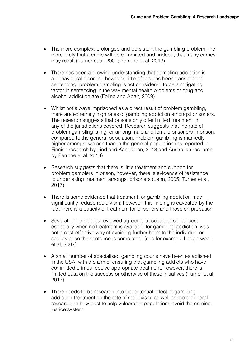- The more complex, prolonged and persistent the gambling problem, the more likely that a crime will be committed and, indeed, that many crimes may result (Turner et al, 2009; Perrone et al, 2013)
- There has been a growing understanding that gambling addiction is a behavioural disorder, however, little of this has been translated to sentencing; problem gambling is not considered to be a mitigating factor in sentencing in the way mental health problems or drug and alcohol addiction are (Folino and Abait, 2009)
- Whilst not always imprisoned as a direct result of problem gambling, there are extremely high rates of gambling addiction amongst prisoners. The research suggests that prisons only offer limited treatment in any of the jurisdictions covered. Research suggests that the rate of problem gambling is higher among male and female prisoners in prison, compared to the general population. Problem gambling is markedly higher amongst women than in the general population (as reported in Finnish research by Lind and Kääriäinen, 2018 and Australian research by Perrone et al, 2013)
- Research suggests that there is little treatment and support for problem gamblers in prison, however, there is evidence of resistance to undertaking treatment amongst prisoners (Lahn, 2005; Turner et al, 2017)
- There is some evidence that treatment for gambling addiction may significantly reduce recidivism; however, this finding is caveated by the fact there is a paucity of treatment for prisoners and those on probation
- Several of the studies reviewed agreed that custodial sentences, especially when no treatment is available for gambling addiction, was not a cost-effective way of avoiding further harm to the individual or society once the sentence is completed. (see for example Ledgerwood et al, 2007)
- A small number of specialised gambling courts have been established in the USA, with the aim of ensuring that gambling addicts who have committed crimes receive appropriate treatment, however, there is limited data on the success or otherwise of these initiatives (Turner et al, 2017)
- There needs to be research into the potential effect of gambling addiction treatment on the rate of recidivism, as well as more general research on how best to help vulnerable populations avoid the criminal justice system.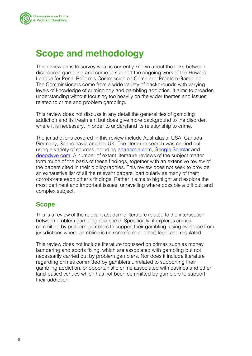<span id="page-5-0"></span>

### **Scope and methodology**

This review aims to survey what is currently known about the links between disordered gambling and crime to support the ongoing work of the Howard League for Penal Reform's Commission on Crime and Problem Gambling. The Commissioners come from a wide variety of backgrounds with varying levels of knowledge of criminology and gambling addiction. It aims to broaden understanding without focusing too heavily on the wider themes and issues related to crime and problem gambling.

This review does not discuss in any detail the generalities of gambling addiction and its treatment but does give more background to the disorder, where it is necessary, in order to understand its relationship to crime.

The jurisdictions covered in this review include Australasia, USA, Canada, Germany, Scandinavia and the UK. The literature search was carried out using a variety of sources including **academia.com, Google Scholar** and [deepdyve.com.](http://deepdyve.com) A number of extant literature reviews of the subject matter form much of the basis of these findings, together with an extensive review of the papers cited in their bibliographies. This review does not seek to provide an exhaustive list of all the relevant papers, particularly as many of them corroborate each other's findings. Rather it aims to highlight and explore the most pertinent and important issues, unravelling where possible a difficult and complex subject.

### **Scope**

This is a review of the relevant academic literature related to the intersection between problem gambling and crime. Specifically, it explores crimes committed by problem gamblers to support their gambling, using evidence from jurisdictions where gambling is (in some form or other) legal and regulated.

This review does not include literature focussed on crimes such as money laundering and sports fixing, which are associated with gambling but not necessarily carried out by problem gamblers. Nor does it include literature regarding crimes committed by gamblers unrelated to supporting their gambling addiction, or opportunistic crime associated with casinos and other land-based venues which has not been committed by gamblers to support their addiction.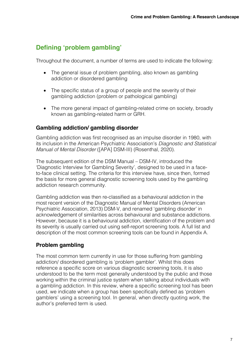### <span id="page-6-0"></span>**Defining 'problem gambling'**

Throughout the document, a number of terms are used to indicate the following:

- The general issue of problem gambling, also known as gambling addiction or disordered gambling
- The specific status of a group of people and the severity of their gambling addiction (problem or pathological gambling)
- The more general impact of gambling-related crime on society, broadly known as gambling-related harm or GRH.

#### **Gambling addiction/ gambling disorder**

Gambling addiction was first recognised as an impulse disorder in 1980, with its inclusion in the American Psychiatric Association's *Diagnostic and Statistical Manual of Mental Disorder* ([APA] DSM-III) (Rosenthal, 2020).

The subsequent edition of the DSM Manual – DSM-IV, introduced the 'Diagnostic Interview for Gambling Severity', designed to be used in a faceto-face clinical setting. The criteria for this interview have, since then, formed the basis for more general diagnostic screening tools used by the gambling addiction research community.

Gambling addiction was then re-classified as a behavioural addiction in the most recent version of the Diagnostic Manual of Mental Disorders (American Psychiatric Association, 2013) DSM-V, and renamed 'gambling disorder' in acknowledgement of similarities across behavioural and substance addictions. However, because it is a behavioural addiction, identification of the problem and its severity is usually carried out using self-report screening tools. A full list and description of the most common screening tools can be found in Appendix A.

### **Problem gambling**

The most common term currently in use for those suffering from gambling addiction/ disordered gambling is 'problem gambler'. Whilst this does reference a specific score on various diagnostic screening tools, it is also understood to be the term most generally understood by the public and those working within the criminal justice system when talking about individuals with a gambling addiction. In this review, where a specific screening tool has been used, we indicate when a group has been specifically defined as 'problem gamblers' using a screening tool. In general, when directly quoting work, the author's preferred term is used.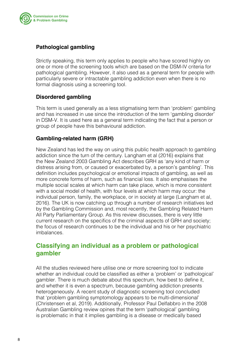<span id="page-7-0"></span>

#### **Pathological gambling**

Strictly speaking, this term only applies to people who have scored highly on one or more of the screening tools which are based on the DSM-IV criteria for pathological gambling. However, it also used as a general term for people with particularly severe or intractable gambling addiction even when there is no formal diagnosis using a screening tool.

#### **Disordered gambling**

This term is used generally as a less stigmatising term than 'problem' gambling and has increased in use since the introduction of the term 'gambling disorder' in DSM-V. It is used here as a general term indicating the fact that a person or group of people have this behavioural addiction.

#### **Gambling-related harm (GRH)**

New Zealand has led the way on using this public health approach to gambling addiction since the turn of the century. Langham et al (2016) explains that the New Zealand 2003 Gambling Act describes GRH as 'any kind of harm or distress arising from, or caused or exacerbated by, a person's gambling'. This definition includes psychological or emotional impacts of gambling, as well as more concrete forms of harm, such as financial loss. It also emphasises the multiple social scales at which harm can take place, which is more consistent with a social model of health, with four levels at which harm may occur: the individual person, family, the workplace, or in society at large (Langham et al, 2016). The UK is now catching up through a number of research initiatives led by the Gambling Commission and, most recently, the Gambling Related Harm All Party Parliamentary Group. As this review discusses, there is very little current research on the specifics of the criminal aspects of GRH and society; the focus of research continues to be the individual and his or her psychiatric imbalances.

### **Classifying an individual as a problem or pathological gambler**

All the studies reviewed here utilise one or more screening tool to indicate whether an individual could be classified as either a 'problem' or 'pathological' gambler. There is much debate about this spectrum, how best to define it, and whether it is even a spectrum, because gambling addiction presents heterogeneously. A recent study of diagnostic screening tool concluded that 'problem gambling symptomology appears to be multi-dimensional' (Christensen et al, 2019). Additionally, Professor Paul Delfabbro in the 2008 Australian Gambling review opines that the term 'pathological' gambling is problematic in that it implies gambling is a disease or medically based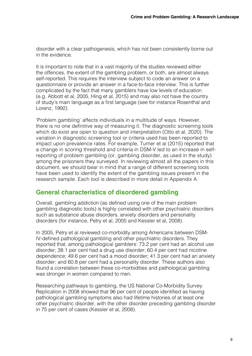<span id="page-8-0"></span>disorder with a clear pathogenesis, which has not been consistently borne out in the evidence.

It is important to note that in a vast majority of the studies reviewed either the offences, the extent of the gambling problem, or both, are almost always self-reported. This requires the interview subject to code an answer on a questionnaire or provide an answer in a face-to-face interview. This is further complicated by the fact that many gamblers have low levels of education (e.g. Abbott et al, 2005, Hing et al, 2015) and may also not have the country of study's main language as a first language (see for instance Rosenthal and Lorenz, 1992).

'Problem gambling' affects individuals in a multitude of ways. However, there is no one definitive way of measuring it. The diagnostic screening tools which do exist are open to question and interpretation (Otto et al, 2020). The variation in diagnostic screening tool or criteria used has been reported to impact upon prevalence rates. For example, Turner et al (2015) reported that a change in scoring threshold and criteria in DSM-V led to an increase in selfreporting of problem gambling (or, gambling disorder, as used in the study) among the prisoners they surveyed. In reviewing almost all the papers in this document, we should bear in mind that a range of different screening tools have been used to identify the extent of the gambling issues present in the research sample. Each tool is described in more detail in Appendix A.

### **General characteristics of disordered gambling**

Overall, gambling addiction (as defined using one of the main problem gambling diagnostic tools) is highly correlated with other psychiatric disorders such as substance abuse disorders, anxiety disorders and personality disorders (for instance, Petry et al, 2005 and Kessler et al, 2008).

In 2005, Petry et al reviewed co-morbidity among Americans between DSM-IV-defined pathological gambling and other psychiatric disorders. They reported that, among pathological gamblers: 73.2 per cent had an alcohol use disorder; 38.1 per cent had a drug use disorder; 60.4 per cent had nicotine dependence; 49.6 per cent had a mood disorder; 41.3 per cent had an anxiety disorder; and 60.8 per cent had a personality disorder. These authors also found a correlation between these co-morbidities and pathological gambling was stronger in women compared to men.

Researching pathways to gambling, the US National Co-Morbidity Survey Replication in 2008 showed that 96 per cent of people identified as having pathological gambling symptoms also had lifetime histories of at least one other psychiatric disorder, with the other disorder preceding gambling disorder in 75 per cent of cases (Kessler et al, 2008).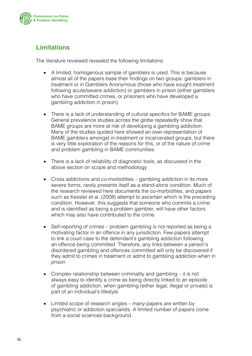<span id="page-9-0"></span>

### **Limitations**

The literature reviewed revealed the following limitations:

- A limited, homogenous sample of gamblers is used. This is because almost all of the papers base their findings on two groups: gamblers in treatment or in Gamblers Anonymous (those who have sought treatment following acute/severe addiction) or gamblers in prison (either gamblers who have committed crimes, or prisoners who have developed a gambling addiction in prison)
- There is a lack of understanding of cultural specifics for BAME groups. General prevalence studies across the globe repeatedly show that BAME groups are more at risk of developing a gambling addiction. Many of the studies quoted here showed an over-representation of BAME gamblers amongst in-treatment or incarcerated groups, but there is very little exploration of the reasons for this, or of the nature of crime and problem gambling in BAME communities
- There is a lack of reliability of diagnostic tools, as discussed in the above section on scope and methodology
- Cross addictions and co-morbidities gambling addiction in its more severe forms, rarely presents itself as a stand-alone condition. Much of the research reviewed here documents the co-morbidities, and papers such as Kessler et al, (2008) attempt to ascertain which is the preceding condition. However, this suggests that someone who commits a crime and is identified as being a problem gambler, will have other factors which may also have contributed to the crime
- Self-reporting of crimes problem gambling is not reported as being a motivating factor in an offence in any jurisdiction. Few papers attempt to link a court case to the defendant's gambling addiction following an offence being committed. Therefore, any links between a person's disordered gambling and offences committed will only be discovered if they admit to crimes in treatment or admit to gambling addiction when in prison
- Complex relationship between criminality and gambling  $-$  it is not always easy to identify a crime as being directly linked to an episode of gambling addiction, when gambling (either legal, illegal or private) is part of an individual's lifestyle
- Limited scope of research angles many papers are written by psychiatric or addiction specialists. A limited number of papers come from a social sciences background.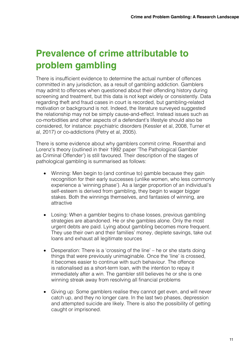## <span id="page-10-0"></span>**Prevalence of crime attributable to problem gambling**

There is insufficient evidence to determine the actual number of offences committed in any jurisdiction, as a result of gambling addiction. Gamblers may admit to offences when questioned about their offending history during screening and treatment, but this data is not kept widely or consistently. Data regarding theft and fraud cases in court is recorded, but gambling-related motivation or background is not. Indeed, the literature surveyed suggested the relationship may not be simply cause-and-effect. Instead issues such as co-morbidities and other aspects of a defendant's lifestyle should also be considered, for instance: psychiatric disorders (Kessler et al, 2008, Turner et al, 2017) or co-addictions (Petry et al, 2005).

There is some evidence about why gamblers commit crime. Rosenthal and Lorenz's theory (outlined in their 1992 paper 'The Pathological Gambler as Criminal Offender') is still favoured. Their description of the stages of pathological gambling is summarised as follows:

- Winning: Men begin to (and continue to) gamble because they gain recognition for their early successes (unlike women, who less commonly experience a 'winning phase'). As a larger proportion of an individual's self-esteem is derived from gambling, they begin to wager bigger stakes. Both the winnings themselves, and fantasies of winning, are attractive
- Losing: When a gambler begins to chase losses, previous gambling strategies are abandoned. He or she gambles alone. Only the most urgent debts are paid. Lying about gambling becomes more frequent. They use their own and their families' money, deplete savings, take out loans and exhaust all legitimate sources
- Desperation: There is a 'crossing of the line' he or she starts doing things that were previously unimaginable. Once the 'line' is crossed, it becomes easier to continue with such behaviour. The offence is rationalised as a short-term loan, with the intention to repay it immediately after a win. The gambler still believes he or she is one winning streak away from resolving all financial problems
- Giving up: Some gamblers realise they cannot get even, and will never catch up, and they no longer care. In the last two phases, depression and attempted suicide are likely. There is also the possibility of getting caught or imprisoned.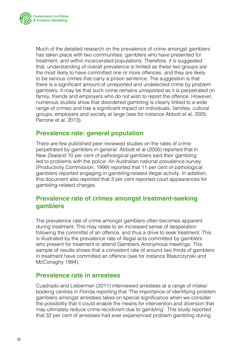<span id="page-11-0"></span>

Much of the detailed research on the prevalence of crime amongst gamblers has taken place with two communities: gamblers who have presented for treatment, and within incarcerated populations. Therefore, it is suggested that, understanding of overall prevalence is limited as these two groups are the most likely to have committed one or more offences, and they are likely to be serious crimes that carry a prison sentence. The suggestion is that there is a significant amount of unreported and undetected crime by problem gamblers. It may be that such crime remains unreported as it is perpetrated on family, friends and employers who do not wish to report the offence. However, numerous studies show that disordered gambling is clearly linked to a wide range of crimes and has a significant impact on individuals, families, cultural groups, employers and society at large (see for instance Abbott et al, 2005; Perrone et al, 2013).

### **Prevalence rate: general population**

There are few published peer-reviewed studies on the rates of crime perpetrated by gamblers in general. Abbott et al (2005) reported that in New Zealand 10 per cent of pathological gamblers said their gambling led to problems with the police. An Australian national prevalence survey (Productivity Commission, 1999) reported that 11 per cent of pathological gamblers reported engaging in gambling-related illegal activity. In addition, this document also reported that 3 per cent reported court appearances for gambling-related charges.

### **Prevalence rate of crimes amongst treatment-seeking gamblers**

The prevalence rate of crime amongst gamblers often becomes apparent during treatment. This may relate to an increased sense of desperation following the committal of an offence, and thus a drive to seek treatment. This is illustrated by the prevalence rate of illegal acts committed by gamblers who present for treatment or attend Gamblers Anonymous meetings. This sample of results shows that a consistent rate of around two thirds of gamblers in treatment have committed an offence (see for instance Blaszczynski and McConaghy 1994).

#### **Prevalence rate in arrestees**

Cuadrado and Lieberman (2011) interviewed arrestees at a range of intake/ booking centres in Florida reporting that 'The importance of identifying problem gamblers amongst arrestees takes on special significance when we consider the possibility that it could enable the means for intervention and diversion that may ultimately reduce crime recidivism due to gambling'. This study reported that 32 per cent of arrestees had ever experienced problem gambling during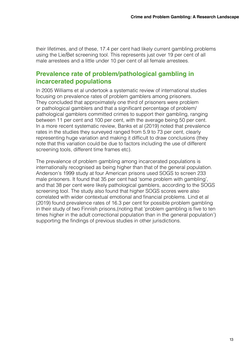<span id="page-12-0"></span>their lifetimes, and of these, 17.4 per cent had likely current gambling problems using the Lie/Bet screening tool. This represents just over 19 per cent of all male arrestees and a little under 10 per cent of all female arrestees.

### **Prevalence rate of problem/pathological gambling in incarcerated populations**

In 2005 Williams et al undertook a systematic review of international studies focusing on prevalence rates of problem gamblers among prisoners. They concluded that approximately one third of prisoners were problem or pathological gamblers and that a significant percentage of problem/ pathological gamblers committed crimes to support their gambling, ranging between 11 per cent and 100 per cent, with the average being 50 per cent. In a more recent systematic review, Banks et al (2019) noted that prevalence rates in the studies they surveyed ranged from 5.9 to 73 per cent, clearly representing huge variation and making it difficult to draw conclusions (they note that this variation could be due to factors including the use of different screening tools, different time frames etc).

The prevalence of problem gambling among incarcerated populations is internationally recognised as being higher than that of the general population. Anderson's 1999 study at four American prisons used SOGS to screen 233 male prisoners. It found that 35 per cent had 'some problem with gambling', and that 38 per cent were likely pathological gamblers, according to the SOGS screening tool. The study also found that higher SOGS scores were also correlated with wider contextual emotional and financial problems. Lind et al (2019) found prevalence rates of 16.3 per cent for possible problem gambling in their study of two Finnish prisons,(noting that 'problem gambling is five to ten times higher in the adult correctional population than in the general population') supporting the findings of previous studies in other jurisdictions.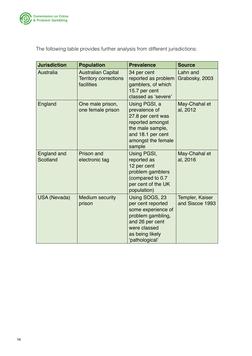

The following table provides further analysis from different jurisdictions:

| <b>Jurisdiction</b>     | <b>Population</b>                                                       | <b>Prevalence</b>                                                                                                                                      | <b>Source</b>                      |
|-------------------------|-------------------------------------------------------------------------|--------------------------------------------------------------------------------------------------------------------------------------------------------|------------------------------------|
| Australia               | <b>Australian Capital</b><br><b>Territory corrections</b><br>facilities | 34 per cent<br>reported as problem<br>gamblers, of which<br>15.7 per cent<br>classed as 'severe'                                                       | Lahn and<br>Grabosky, 2003         |
| England                 | One male prison,<br>one female prison                                   | Using PGSI, a<br>prevalence of<br>27.8 per cent was<br>reported amongst<br>the male sample,<br>and 18.1 per cent<br>amongst the female<br>sample       | May-Chahal et<br>al, 2012          |
| England and<br>Scotland | <b>Prison and</b><br>electronic tag                                     | Using PGSI,<br>reported as<br>12 per cent<br>problem gamblers<br>(compared to 0.7<br>per cent of the UK<br>population)                                 | May-Chahal et<br>al, 2016          |
| <b>USA (Nevada)</b>     | <b>Medium security</b><br>prison                                        | Using SOGS, 23<br>per cent reported<br>some experience of<br>problem gambling,<br>and 26 per cent<br>were classed<br>as being likely<br>'pathological' | Templer, Kaiser<br>and Siscoe 1993 |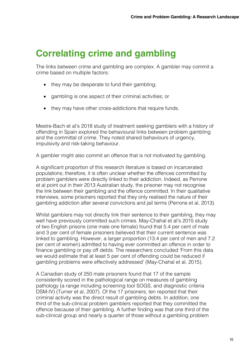### <span id="page-14-0"></span>**Correlating crime and gambling**

The links between crime and gambling are complex. A gambler may commit a crime based on multiple factors:

- they may be desperate to fund their gambling;
- • gambling is one aspect of their criminal activities; or
- they may have other cross-addictions that require funds.

Mestre-Bach et al's 2018 study of treatment seeking gamblers with a history of offending in Spain explored the behavioural links between problem gambling and the committal of crime. They noted shared behaviours of urgency, impulsivity and risk-taking behaviour.

A gambler might also commit an offence that is not motivated by gambling.

A significant proportion of this research literature is based on incarcerated populations; therefore, it is often unclear whether the offences committed by problem gamblers were directly linked to their addiction. Indeed, as Perrone et al point out in their 2013 Australian study, the prisoner may not recognise the link between their gambling and the offence committed. In their qualitative interviews, some prisoners reported that they only realised the nature of their gambling addiction after several convictions and jail terms (Perrone et al, 2013).

Whilst gamblers may not directly link their sentence to their gambling, they may well have previously committed such crimes. May-Chahal et al's 2015 study of two English prisons (one male one female) found that 5.4 per cent of male and 3 per cent of female prisoners believed that their current sentence was linked to gambling. However, a larger proportion (13.4 per cent of men and 7.2 per cent of women) admitted to having ever committed an offence in order to finance gambling or pay off debts. The researchers concluded 'From this data we would estimate that at least 5 per cent of offending could be reduced if gambling problems were effectively addressed' (May-Chahal et al, 2015).

A Canadian study of 250 male prisoners found that 17 of the sample consistently scored in the pathological range on measures of gambling pathology (a range including screening tool SOGS, and diagnostic criteria DSM-IV) (Turner et al, 2007). Of the 17 prisoners, ten reported that their criminal activity was the direct result of gambling debts. In addition, one third of the sub-clinical problem gamblers reported that they committed the offence because of their gambling. A further finding was that one third of the sub-clinical group and nearly a quarter of those without a gambling problem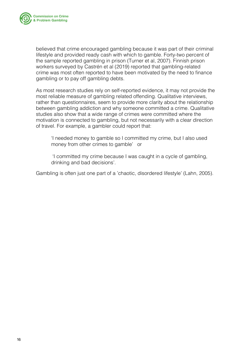

believed that crime encouraged gambling because it was part of their criminal lifestyle and provided ready cash with which to gamble. Forty-two percent of the sample reported gambling in prison (Turner et al, 2007). Finnish prison workers surveyed by Castrén et al (2019) reported that gambling-related crime was most often reported to have been motivated by the need to finance gambling or to pay off gambling debts.

As most research studies rely on self-reported evidence, it may not provide the most reliable measure of gambling related offending. Qualitative interviews, rather than questionnaires, seem to provide more clarity about the relationship between gambling addiction and why someone committed a crime. Qualitative studies also show that a wide range of crimes were committed where the motivation is connected to gambling, but not necessarily with a clear direction of travel. For example, a gambler could report that:

'I needed money to gamble so I committed my crime, but I also used money from other crimes to gamble' or

'I committed my crime because I was caught in a cycle of gambling, drinking and bad decisions'.

Gambling is often just one part of a 'chaotic, disordered lifestyle' (Lahn, 2005).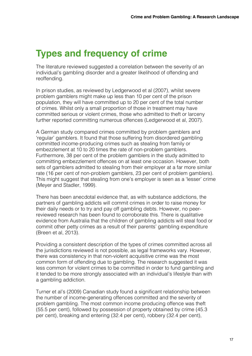### <span id="page-16-0"></span>**Types and frequency of crime**

The literature reviewed suggested a correlation between the severity of an individual's gambling disorder and a greater likelihood of offending and reoffending.

In prison studies, as reviewed by Ledgerwood et al (2007), whilst severe problem gamblers might make up less than 10 per cent of the prison population, they will have committed up to 20 per cent of the total number of crimes. Whilst only a small proportion of those in treatment may have committed serious or violent crimes, those who admitted to theft or larceny further reported committing numerous offences (Ledgerwood et al, 2007).

A German study compared crimes committed by problem gamblers and 'regular' gamblers. It found that those suffering from disordered gambling committed income-producing crimes such as stealing from family or embezzlement at 10 to 20 times the rate of non-problem gamblers. Furthermore, 38 per cent of the problem gamblers in the study admitted to committing embezzlement offences on at least one occasion. However, both sets of gamblers admitted to stealing from their employer at a far more similar rate (16 per cent of non-problem gamblers, 23 per cent of problem gamblers). This might suggest that stealing from one's employer is seen as a 'lesser' crime (Meyer and Stadler, 1999).

There has been anecdotal evidence that, as with substance addictions, the partners of gambling addicts will commit crimes in order to raise money for their daily needs or to try and pay off gambling debts. However, no peerreviewed research has been found to corroborate this. There is qualitative evidence from Australia that the children of gambling addicts will steal food or commit other petty crimes as a result of their parents' gambling expenditure (Breen et al, 2013).

Providing a consistent description of the types of crimes committed across all the jurisdictions reviewed is not possible, as legal frameworks vary. However, there was consistency in that non-violent acquisitive crime was the most common form of offending due to gambling. The research suggested it was less common for violent crimes to be committed in order to fund gambling and it tended to be more strongly associated with an individual's lifestyle than with a gambling addiction.

Turner et al's (2009) Canadian study found a significant relationship between the number of income-generating offences committed and the severity of problem gambling. The most common income producing offence was theft (55.5 per cent), followed by possession of property obtained by crime (45.3 per cent), breaking and entering (32.4 per cent), robbery (32.4 per cent),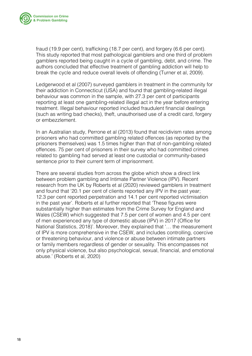

fraud (19.9 per cent), trafficking (18.7 per cent), and forgery (6.6 per cent). This study reported that most pathological gamblers and one third of problem gamblers reported being caught in a cycle of gambling, debt, and crime. The authors concluded that effective treatment of gambling addiction will help to break the cycle and reduce overall levels of offending (Turner et al, 2009).

Ledgerwood et al (2007) surveyed gamblers in treatment in the community for their addiction in Connecticut (USA) and found that gambling‐related illegal behaviour was common in the sample, with 27.3 per cent of participants reporting at least one gambling‐related illegal act in the year before entering treatment. Illegal behaviour reported included fraudulent financial dealings (such as writing bad checks), theft, unauthorised use of a credit card, forgery or embezzlement.

In an Australian study, Perrone et al (2013) found that recidivism rates among prisoners who had committed gambling related offences (as reported by the prisoners themselves) was 1.5 times higher than that of non-gambling related offences. 75 per cent of prisoners in their survey who had committed crimes related to gambling had served at least one custodial or community-based sentence prior to their current term of imprisonment.

There are several studies from across the globe which show a direct link between problem gambling and Intimate Partner Violence (IPV). Recent research from the UK by Roberts et al (2020) reviewed gamblers in treatment and found that '20.1 per cent of clients reported any IPV in the past year; 12.3 per cent reported perpetration and 14.1 per cent reported victimisation in the past year'. Roberts et al further reported that 'These figures were substantially higher than estimates from the Crime Survey for England and Wales (CSEW) which suggested that 7.5 per cent of women and 4.5 per cent of men experienced any type of domestic abuse (IPV) in 2017 (Office for National Statistics, 2018)'. Moreover, they explained that '… the measurement of IPV is more comprehensive in the CSEW, and includes controlling, coercive or threatening behaviour, and violence or abuse between intimate partners or family members regardless of gender or sexuality. This encompasses not only physical violence, but also psychological, sexual, financial, and emotional abuse.' (Roberts et al, 2020)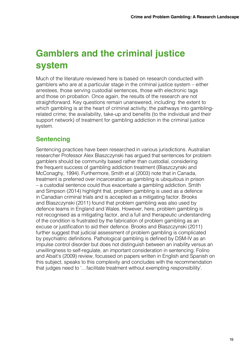## <span id="page-18-0"></span>**Gamblers and the criminal justice system**

Much of the literature reviewed here is based on research conducted with gamblers who are at a particular stage in the criminal justice system – either arrestees, those serving custodial sentences, those with electronic tags and those on probation. Once again, the results of the research are not straightforward. Key questions remain unanswered, including: the extent to which gambling is at the heart of criminal activity; the pathways into gamblingrelated crime; the availability, take-up and benefits (to the individual and their support network) of treatment for gambling addiction in the criminal justice system.

### **Sentencing**

Sentencing practices have been researched in various jurisdictions. Australian researcher Professor Alex Blaszczynski has argued that sentences for problem gamblers should be community based rather than custodial, considering the frequent success of gambling addiction treatment (Blaszczynski and McConaghy, 1994). Furthermore, Smith et al (2003) note that in Canada, treatment is preferred over incarceration as gambling is ubiquitous in prison – a custodial sentence could thus exacerbate a gambling addiction. Smith and Simpson (2014) highlight that, problem gambling is used as a defence in Canadian criminal trials and is accepted as a mitigating factor. Brooks and Blaszczynski (2011) found that problem gambling was also used by defence teams in England and Wales. However, here, problem gambling is not recognised as a mitigating factor, and a full and therapeutic understanding of the condition is frustrated by the fabrication of problem gambling as an excuse or justification to aid their defence. Brooks and Blaszczynski (2011) further suggest that judicial assessment of problem gambling is complicated by psychiatric definitions. Pathological gambling is defined by DSM-IV as an impulse control disorder but does not distinguish between an inability versus an unwillingness to self-regulate, an important consideration in sentencing. Folino and Abait's (2009) review, focussed on papers written in English and Spanish on this subject, speaks to this complexity and concludes with the recommendation that judges need to '…facilitate treatment without exempting responsibility'.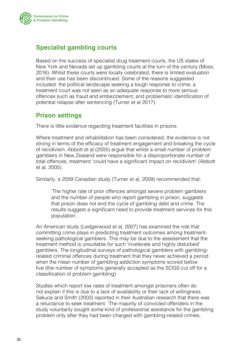<span id="page-19-0"></span>

### **Specialist gambling courts**

Based on the success of specialist drug treatment courts, the US states of New York and Nevada set up gambling courts at the turn of the century (Moss, 2016). Whilst these courts were locally celebrated, there is limited evaluation and their use has been discontinued. Some of the reasons suggested included: the political landscape seeking a tough response to crime; a treatment court was not seen as an adequate response to more serious offences such as fraud and embezzlement; and problematic identification of potential relapse after sentencing (Turner et al 2017).

### **Prison settings**

There is little evidence regarding treatment facilities in prisons.

Where treatment and rehabilitation has been considered, the evidence is not strong in terms of the efficacy of treatment engagement and breaking the cycle of recidivism. Abbott et al (2005) argue that whilst a small number of problem gamblers in New Zealand were responsible for a disproportionate number of total offences, treatment 'could have a significant impact on recidivism' (Abbott et al, 2005).

Similarly, a 2009 Canadian study (Turner et al, 2009) recommended that:

'The higher rate of prior offences amongst severe problem gamblers and the number of people who report gambling in prison, suggests that prison does not end the cycle of gambling debt and crime. The results suggest a significant need to provide treatment services for this population'.

An American study (Ledgerwood et al, 2007) has examined the role that committing crime plays in predicting treatment outcomes among treatment‐ seeking pathological gamblers. This may be due to the assessment that the treatment method is unsuitable for such 'inveterate and highly disturbed' gamblers. The longitudinal surveys of pathological gamblers with gambling‐ related criminal offences during treatment that they never achieved a period when the mean number of gambling addiction symptoms scored below five (the number of symptoms generally accepted as the SOGS cut off for a classification of problem gambling).

Studies which report low rates of treatment amongst prisoners often do not explain if this is due to a lack of availability or their lack of willingness. Sakurai and Smith (2003) reported in their Australian research that there was a reluctance to seek treatment: 'The majority of convicted offenders in the study voluntarily sought some kind of professional assistance for the gambling problem only after they had been charged with gambling-related crimes,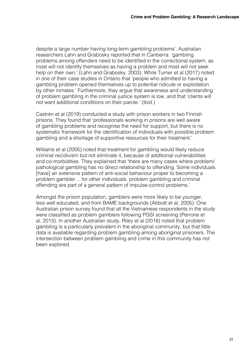despite a large number having long-term gambling problems'. Australian researchers Lahn and Grabosky reported that in Canberra: 'gambling problems among offenders need to be identified in the correctional system, as most will not identify themselves as having a problem and most will not seek help on their own.' (Lahn and Grabosky, 2003). While Turner et al (2017) noted in one of their case studies in Ontario that 'people who admitted to having a gambling problem opened themselves up to potential ridicule or exploitation by other inmates.' Furthermore, they argue that awareness and understanding of problem gambling in the criminal justice system is low, and that 'clients will not want additional conditions on their parole.' (ibid.)

Castrén et al (2019) conducted a study with prison workers in two Finnish prisons. They found that 'professionals working in prisons are well aware of gambling problems and recognise the need for support, but there is no systematic framework for the identification of individuals with possible problem gambling and a shortage of supportive resources for their treatment.'

Williams et al (2005) noted that treatment for gambling would likely reduce criminal recidivism but not eliminate it, because of additional vulnerabilities and co-morbidities. They explained that 'there are many cases where problem/ pathological gambling has no direct relationship to offending. Some individuals [have] an extensive pattern of anti-social behaviour proper to becoming a problem gambler… for other individuals, problem gambling and criminal offending are part of a general pattern of impulse-control problems.'

Amongst the prison population, gamblers were more likely to be younger, less well educated, and from BAME backgrounds (Abbott et al, 2005). One Australian prison survey found that all the Vietnamese respondents in the study were classified as problem gamblers following PGSI screening (Perrone et al, 2013). In another Australian study, Riley et al (2018) noted that problem gambling is a particularly prevalent in the aboriginal community, but that little data is available regarding problem gambling among aboriginal prisoners. The intersection between problem gambling and crime in this community has not been explored.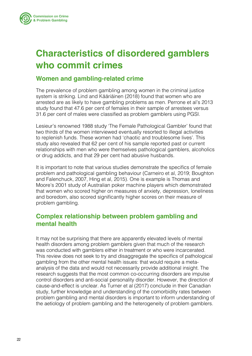<span id="page-21-0"></span>

## **Characteristics of disordered gamblers who commit crimes**

### **Women and gambling-related crime**

The prevalence of problem gambling among women in the criminal justice system is striking. Lind and Kääriäinen (2018) found that women who are arrested are as likely to have gambling problems as men. Perrone et al's 2013 study found that 47.6 per cent of females in their sample of arrestees versus 31.6 per cent of males were classified as problem gamblers using PGSI.

Lesieur's renowned 1988 study 'The Female Pathological Gambler' found that two thirds of the women interviewed eventually resorted to illegal activities to replenish funds. These women had 'chaotic and troublesome lives'. This study also revealed that 62 per cent of his sample reported past or current relationships with men who were themselves pathological gamblers, alcoholics or drug addicts, and that 29 per cent had abusive husbands.

It is important to note that various studies demonstrate the specifics of female problem and pathological gambling behaviour (Carneiro et al, 2019; Boughton and Falenchuck, 2007, Hing et al, 2015). One is example is Thomas and Moore's 2001 study of Australian poker machine players which demonstrated that women who scored higher on measures of anxiety, depression, loneliness and boredom, also scored significantly higher scores on their measure of problem gambling.

### **Complex relationship between problem gambling and mental health**

It may not be surprising that there are apparently elevated levels of mental health disorders among problem gamblers given that much of the research was conducted with gamblers either in treatment or who were incarcerated. This review does not seek to try and disaggregate the specifics of pathological gambling from the other mental health issues: that would require a metaanalysis of the data and would not necessarily provide additional insight. The research suggests that the most common co-occurring disorders are impulse control disorders and anti-social personality disorder. However, the direction of cause-and-effect is unclear. As Turner et al (2017) conclude in their Canadian study, further knowledge and understanding of the comorbidity rates between problem gambling and mental disorders is important to inform understanding of the aetiology of problem gambling and the heterogeneity of problem gamblers.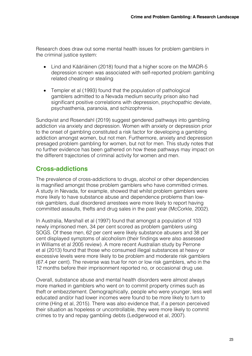<span id="page-22-0"></span>Research does draw out some mental health issues for problem gamblers in the criminal justice system:

- Lind and Kääriäinen (2018) found that a higher score on the MADR-5 depression screen was associated with self-reported problem gambling related cheating or stealing
- Templer et al (1993) found that the population of pathological gamblers admitted to a Nevada medium security prison also had significant positive correlations with depression, psychopathic deviate, psychasthenia, paranoia, and schizophrenia.

Sundqvist and Rosendahl (2019) suggest gendered pathways into gambling addiction via anxiety and depression. Women with anxiety or depression prior to the onset of gambling constituted a risk factor for developing a gambling addiction amongst women, but not men. Furthermore, anxiety and depression presaged problem gambling for women, but not for men. This study notes that no further evidence has been gathered on how these pathways may impact on the different trajectories of criminal activity for women and men.

### **Cross-addictions**

The prevalence of cross-addictions to drugs, alcohol or other dependencies is magnified amongst those problem gamblers who have committed crimes. A study in Nevada, for example, showed that whilst problem gamblers were more likely to have substance abuse and dependence problems than lowrisk gamblers, dual disordered arrestees were more likely to report having committed assaults, thefts and drug sales in the past year (McCorkle, 2002).

In Australia, Marshall et al (1997) found that amongst a population of 103 newly imprisoned men, 34 per cent scored as problem gamblers using SOGS. Of these men, 62 per cent were likely substance abusers and 38 per cent displayed symptoms of alcoholism (their findings were also assessed in Williams et al 2005 review). A more recent Australian study by Perrone et al (2013) found that those who consumed illegal substances at heavy or excessive levels were more likely to be problem and moderate risk gamblers (67.4 per cent). The reverse was true for non or low risk gamblers, who in the 12 months before their imprisonment reported no, or occasional drug use.

Overall, substance abuse and mental health disorders were almost always more marked in gamblers who went on to commit property crimes such as theft or embezzlement. Demographically, people who were younger, less well educated and/or had lower incomes were found to be more likely to turn to crime (Hing et al, 2015). There was also evidence that, if a person perceived their situation as hopeless or uncontrollable, they were more likely to commit crimes to try and repay gambling debts (Ledgerwood et al, 2007).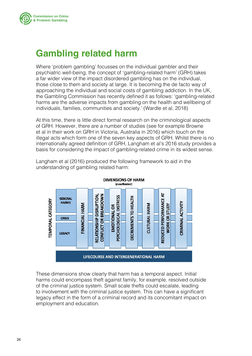<span id="page-23-0"></span>

### **Gambling related harm**

Where 'problem gambling' focusses on the individual gambler and their psychiatric well-being, the concept of 'gambling-related harm' (GRH) takes a far wider view of the impact disordered gambling has on the individual, those close to them and society at large. It is becoming the de facto way of approaching the individual and social costs of gambling addiction. In the UK, the Gambling Commission has recently defined it as follows: 'gambling-related harms are the adverse impacts from gambling on the health and wellbeing of individuals, families, communities and society.' (Wardle et al, 2018)

At this time, there is little direct formal research on the criminological aspects of GRH. However, there are a number of studies (see for example Browne et al in their work on GRH in Victoria, Australia in 2016) which touch on the illegal acts which form one of the seven key aspects of GRH. Whilst there is no internationally agreed definition of GRH, Langham et al's 2016 study provides a basis for considering the impact of gambling-related crime in its widest sense.



Langham et al (2016) produced the following framework to aid in the understanding of gambling related harm:

These dimensions show clearly that harm has a temporal aspect. Initial harms could encompass theft against family, for example, resolved outside of the criminal justice system. Small scale thefts could escalate, leading to involvement with the criminal justice system. This can have a significant legacy effect in the form of a criminal record and its concomitant impact on employment and education.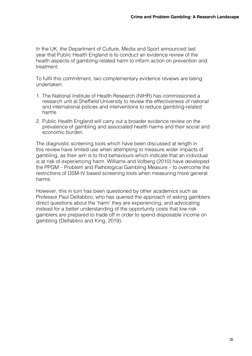In the UK, the Department of Culture, Media and Sport announced last year that Public Health England is to conduct an evidence review of the health aspects of gambling-related harm to inform action on prevention and treatment.

To fulfil this commitment, two complementary evidence reviews are being undertaken:

- 1. The National Institute of Health Research (NIHR) has commissioned a research unit at Sheffield University to review the effectiveness of national and international polices and interventions to reduce gambling-related harms
- 2. Public Health England will carry out a broader evidence review on the prevalence of gambling and associated health harms and their social and economic burden.

The diagnostic screening tools which have been discussed at length in this review have limited use when attempting to measure wider impacts of gambling, as their aim is to find behaviours which indicate that an individual is at risk of experiencing harm. Williams and Volberg (2010) have developed the PPGM – Problem and Pathological Gambling Measure – to overcome the restrictions of DSM-IV based screening tools when measuring more general harms.

However, this in turn has been questioned by other academics such as Professor Paul Delfabbro, who has queried the approach of asking gamblers direct questions about the 'harm' they are experiencing, and advocating instead for a better understanding of the opportunity costs that low-risk gamblers are prepared to trade off in order to spend disposable income on gambling (Delfabbro and King, 2019).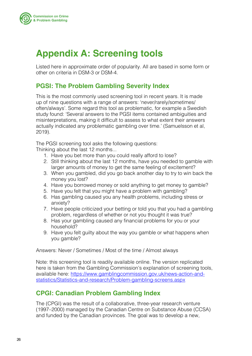<span id="page-25-0"></span>

## **Appendix A: Screening tools**

Listed here in approximate order of popularity. All are based in some form or other on criteria in DSM-3 or DSM-4.

### **PGSI: The Problem Gambling Severity Index**

This is the most commonly used screening tool in recent years. It is made up of nine questions with a range of answers: 'never/rarely/sometimes/ often/always'. Some regard this tool as problematic, for example a Swedish study found: 'Several answers to the PGSI items contained ambiguities and misinterpretations, making it difficult to assess to what extent their answers actually indicated any problematic gambling over time.' (Samuelsson et al, 2019).

The PGSI screening tool asks the following questions:

Thinking about the last 12 months...

- 1. Have you bet more than you could really afford to lose?
- 2. Still thinking about the last 12 months, have you needed to gamble with larger amounts of money to get the same feeling of excitement?
- 3. When you gambled, did you go back another day to try to win back the money you lost?
- 4. Have you borrowed money or sold anything to get money to gamble?
- 5. Have you felt that you might have a problem with gambling?
- 6. Has gambling caused you any health problems, including stress or anxiety?
- 7. Have people criticized your betting or told you that you had a gambling problem, regardless of whether or not you thought it was true?
- 8. Has your gambling caused any financial problems for you or your household?
- 9. Have you felt guilty about the way you gamble or what happens when you gamble?

Answers: Never / Sometimes / Most of the time / Almost always

Note: this screening tool is readily available online. The version replicated here is taken from the Gambling Commission's explanation of screening tools, available here: [https://www.gamblingcommission.gov.uk/news-action-and](https://www.gamblingcommission.gov.uk/news-action-and-statistics/Statistics-and-research/Problem-gambling-screens.aspx
)[statistics/Statistics-and-research/Problem-gambling-screens.aspx](https://www.gamblingcommission.gov.uk/news-action-and-statistics/Statistics-and-research/Problem-gambling-screens.aspx
)

### **CPGI: Canadian Problem Gambling Index**

The (CPGI) was the result of a collaborative, three-year research venture (1997–2000) managed by the Canadian Centre on Substance Abuse (CCSA) and funded by the Canadian provinces. The goal was to develop a new,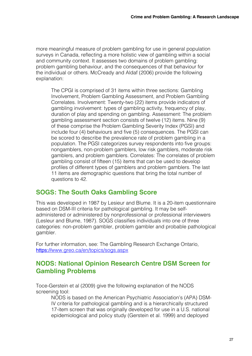more meaningful measure of problem gambling for use in general population surveys in Canada, reflecting a more holistic view of gambling within a social and community context. It assesses two domains of problem gambling: problem gambling behaviour, and the consequences of that behaviour for the individual or others. McCready and Aldaf (2006) provide the following explanation:

The CPGI is comprised of 31 items within three sections: Gambling Involvement, Problem Gambling Assessment, and Problem Gambling Correlates. Involvement: Twenty-two (22) items provide indicators of gambling involvement: types of gambling activity, frequency of play, duration of play and spending on gambling. Assessment: The problem gambling assessment section consists of twelve (12) items. Nine (9) of these comprise the Problem Gambling Severity Index (PGSI) and include four (4) behaviours and five (5) consequences. The PGSI can be scored to describe the prevalence rate of problem gambling in a population. The PGSI categorizes survey respondents into five groups: nongamblers, non-problem gamblers, low risk gamblers, moderate risk gamblers, and problem gamblers. Correlates: The correlates of problem gambling consist of fifteen (15) items that can be used to develop profiles of different types of gamblers and problem gamblers. The last 11 items are demographic questions that bring the total number of questions to 42.

### **SOGS: The South Oaks Gambling Score**

This was developed in 1987 by Lesieur and Blume. It is a 20-item questionnaire based on DSM-III criteria for pathological gambling. It may be selfadministered or administered by nonprofessional or professional interviewers (Lesleur and Blume, 1987). SOGS classifies individuals into one of three categories: non-problem gambler, problem gambler and probable pathological gambler.

For further information, see: The Gambling Research Exchange Ontario, https://[www.greo.ca/en/topics/sogs.aspx](https://www.greo.ca/en/topics/sogs.aspx)

### **NODS: National Opinion Research Centre DSM Screen for Gambling Problems**

Toce-Gerstein et al (2009) give the following explanation of the NODS screening tool:

NODS is based on the American Psychiatric Association's (APA) DSM-IV criteria for pathological gambling and is a hierarchically structured 17-item screen that was originally developed for use in a U.S. national epidemiological and policy study (Gerstein et al. 1999) and deployed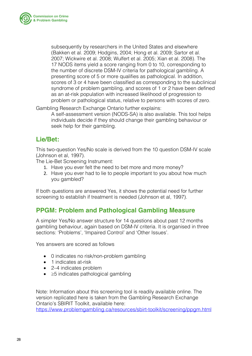

subsequently by researchers in the United States and elsewhere (Bakken et al. 2009; Hodgins, 2004; Hong et al. 2009; Sartor et al. 2007; Wickwire et al. 2008; Wulfert et al. 2005; Xian et al. 2008). The 17 NODS items yield a score ranging from 0 to 10, corresponding to the number of discrete DSM-IV criteria for pathological gambling. A presenting score of 5 or more qualifies as pathological. In addition, scores of 3 or 4 have been classified as corresponding to the subclinical syndrome of problem gambling, and scores of 1 or 2 have been defined as an at-risk population with increased likelihood of progression to problem or pathological status, relative to persons with scores of zero.

Gambling Research Exchange Ontario further explains:

A self-assessment version (NODS-SA) is also available. This tool helps individuals decide if they should change their gambling behaviour or seek help for their gambling.

### **Lie/Bet:**

This two-question Yes/No scale is derived from the 10 question DSM-IV scale (Johnson et al, 1997).

The Lie-Bet Screening Instrument:

- 1. Have you ever felt the need to bet more and more money?
- 2. Have you ever had to lie to people important to you about how much you gambled?

If both questions are answered Yes, it shows the potential need for further screening to establish if treatment is needed (Johnson et al, 1997).

### **PPGM: Problem and Pathological Gambling Measure**

A simpler Yes/No answer structure for 14 questions about past 12 months gambling behaviour, again based on DSM-IV criteria. It is organised in three sections: 'Problems', 'Impaired Control' and 'Other Issues'.

Yes answers are scored as follows

- 0 indicates no risk/non-problem gambling
- 1 indicates at-risk
- 2–4 indicates problem
- • ≥5 indicates pathological gambling

Note: Information about this screening tool is readily available online. The version replicated here is taken from the Gambling Research Exchange Ontario's SBIRIT Toolkit, available here:

<https://www.problemgambling.ca/resources/sbirt-toolkit/screening/ppgm.html>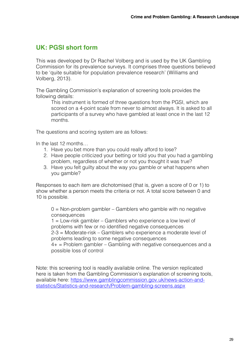### **UK: PGSI short form**

This was developed by Dr Rachel Volberg and is used by the UK Gambling Commission for its prevalence surveys. It comprises three questions believed to be 'quite suitable for population prevalence research' (Williams and Volberg, 2013).

The Gambling Commission's explanation of screening tools provides the following details:

This instrument is formed of three questions from the PGSI, which are scored on a 4-point scale from never to almost always. It is asked to all participants of a survey who have gambled at least once in the last 12 months.

The questions and scoring system are as follows:

In the last 12 months…

- 1. Have you bet more than you could really afford to lose?
- 2. Have people criticized your betting or told you that you had a gambling problem, regardless of whether or not you thought it was true?
- 3. Have you felt guilty about the way you gamble or what happens when you gamble?

Responses to each item are dichotomised (that is, given a score of 0 or 1) to show whether a person meets the criteria or not. A total score between 0 and 10 is possible.

 $0 =$  Non-problem gambler – Gamblers who gamble with no negative consequences

1 = Low-risk gambler – Gamblers who experience a low level of problems with few or no identified negative consequences

2-3 = Moderate-risk – Gamblers who experience a moderate level of problems leading to some negative consequences

 $4+$  = Problem gambler – Gambling with negative consequences and a possible loss of control

Note: this screening tool is readily available online. The version replicated here is taken from the Gambling Commission's explanation of screening tools, available here: [https://www.gamblingcommission.gov.uk/news-action-and](https://www.gamblingcommission.gov.uk/news-action-and-statistics/Statistics-and-research/Problem-gambling-screens.aspx)[statistics/Statistics-and-research/Problem-gambling-screens.aspx](https://www.gamblingcommission.gov.uk/news-action-and-statistics/Statistics-and-research/Problem-gambling-screens.aspx)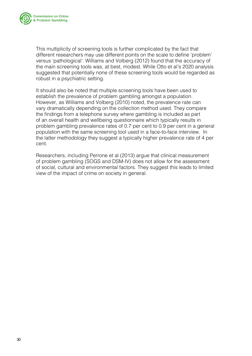

This multiplicity of screening tools is further complicated by the fact that different researchers may use different points on the scale to define 'problem' versus 'pathological'. Williams and Volberg (2012) found that the accuracy of the main screening tools was, at best, modest. While Otto et al's 2020 analysis suggested that potentially none of these screening tools would be regarded as robust in a psychiatric setting.

It should also be noted that multiple screening tools have been used to establish the prevalence of problem gambling amongst a population. However, as Williams and Volberg (2010) noted, the prevalence rate can vary dramatically depending on the collection method used. They compare the findings from a telephone survey where gambling is included as part of an overall health and wellbeing questionnaire which typically results in problem gambling prevalence rates of 0.7 per cent to 0.9 per cent in a general population with the same screening tool used in a face-to-face interview. In the latter methodology they suggest a typically higher prevalence rate of 4 per cent.

Researchers, including Perrone et al (2013) argue that clinical measurement of problem gambling (SOGS and DSM-IV) does not allow for the assessment of social, cultural and environmental factors. They suggest this leads to limited view of the impact of crime on society in general.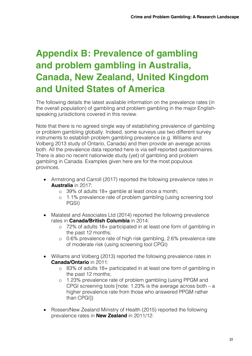## <span id="page-30-0"></span>**Appendix B: Prevalence of gambling and problem gambling in Australia, Canada, New Zealand, United Kingdom and United States of America**

The following details the latest available information on the prevalence rates (in the overall population) of gambling and problem gambling in the major Englishspeaking jurisdictions covered in this review.

Note that there is no agreed single way of establishing prevalence of gambling or problem gambling globally. Indeed, some surveys use two different survey instruments to establish problem gambling prevalence (e.g. Williams and Volberg 2013 study of Ontario, Canada) and then provide an average across both. All the prevalence data reported here is via self-reported questionnaires. There is also no recent nationwide study (yet) of gambling and problem gambling in Canada. Examples given here are for the most populous provinces.

- Armstrong and Carroll (2017) reported the following prevalence rates in **Australia** in 2017:
	- o 39% of adults 18+ gamble at least once a month;
	- o 1.1% prevalence rate of problem gambling (using screening tool PGSI)
- Malatest and Associates Ltd (2014) reported the following prevalence rates in **Canada/British Columbia** in 2014:
	- o 72% of adults 18+ participated in at least one form of gambling in the past 12 months;
	- o 0.6% prevalence rate of high risk gambling, 2.6% prevalence rate of moderate risk (using screening tool CPGI)
- Williams and Volberg (2013) reported the following prevalence rates in **Canada/Ontario** in 2011:
	- o 83% of adults 18+ participated in at least one form of gambling in the past 12 months;
	- o 1.23% prevalence rate of problem gambling (using PPGM and CPGI screening tools [note: 1.23% is the average across both – a higher prevalence rate from those who answered PPGM rather than CPGI])
- Rossen/New Zealand Ministry of Health (2015) reported the following prevalence rates in **New Zealand** in 2011/12: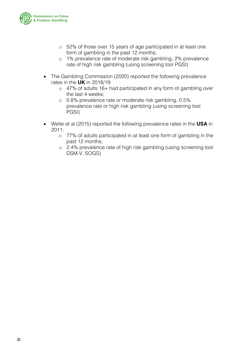

- o 52% of those over 15 years of age participated in at least one form of gambling in the past 12 months;
- o 1% prevalence rate of moderate risk gambling, 2% prevalence rate of high risk gambling (using screening tool PGSI)
- The Gambling Commission (2020) reported the following prevalence rates in the **UK** in 2018/19:
	- o 47% of adults 16+ had participated in any form of gambling over the last 4 weeks;
	- o 0.8% prevalence rate or moderate risk gambling, 0.5% prevalence rate or high risk gambling (using screening tool PGSI)
- Welte et al (2015) reported the following prevalence rates in the **USA** in 2011:
	- o 77% of adults participated in at least one form of gambling in the past 12 months;
	- o 2.4% prevalence rate of high risk gambling (using screening tool DSM-V, SOGS)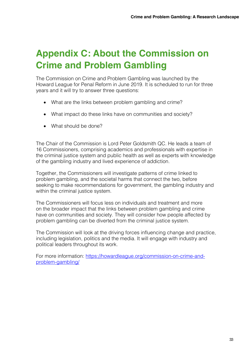## <span id="page-32-0"></span>**Appendix C: About the Commission on Crime and Problem Gambling**

The Commission on Crime and Problem Gambling was launched by the Howard League for Penal Reform in June 2019. It is scheduled to run for three years and it will try to answer three questions:

- What are the links between problem gambling and crime?
- What impact do these links have on communities and society?
- What should be done?

The Chair of the Commission is Lord Peter Goldsmith QC. He leads a team of 16 Commissioners, comprising academics and professionals with expertise in the criminal justice system and public health as well as experts with knowledge of the gambling industry and lived experience of addiction.

Together, the Commissioners will investigate patterns of crime linked to problem gambling, and the societal harms that connect the two, before seeking to make recommendations for government, the gambling industry and within the criminal justice system.

The Commissioners will focus less on individuals and treatment and more on the broader impact that the links between problem gambling and crime have on communities and society. They will consider how people affected by problem gambling can be diverted from the criminal justice system.

The Commission will look at the driving forces influencing change and practice, including legislation, politics and the media. It will engage with industry and political leaders throughout its work.

For more information: [https://howardleague.org/commission-on-crime-and](https://howardleague.org/commission-on-crime-and-problem-gambling/)[problem-gambling/](https://howardleague.org/commission-on-crime-and-problem-gambling/)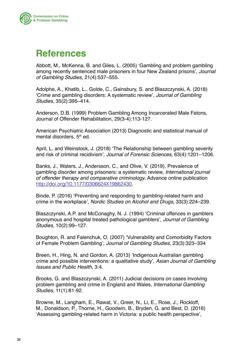<span id="page-33-0"></span>

### **References**

Abbott, M., McKenna, B. and Giles, L. (2005) 'Gambling and problem gambling among recently sentenced male prisoners in four New Zealand prisons', *Journal of Gambling Studies,* 21(4):537–555.

Adolphe, A., Khatib, L., Golde, C., Gainsbury, S. and Blaszczynski, A. (2018) 'Crime and gambling disorders: A systematic review', *Journal of Gambling Studies*, 35(2):395–414.

Anderson, D.B. (1999) Problem Gambling Among Incarcerated Male Felons, Journal of Offender Rehabilitation, 29(3-4):113-127.

American Psychiatric Association (2013) Diagnostic and statistical manual of mental disorders, 5<sup>th</sup> ed.

April, L. and Weinstock, J. (2018) 'The Relationship between gambling severity and risk of criminal recidivism', *Journal of Forensic Sciences*, 63(4):1201–1206.

Banks, J., Waters, J., Andersson, C., and Olive, V. (2019), Prevalence of gambling disorder among prisoners: a systematic review, *International journal of offender therapy and comparative criminology*, Advance online publication <http://doi.org/10.1177/0306624X19862430>.

Binde, P. (2016) 'Preventing and responding to gambling-related harm and crime in the workplace', *Nordic Studies on Alcohol and Drugs,* 33(3):224–239.

Blaszczynski, A.P. and McConaghy, N. J. (1994) 'Criminal offences in gamblers anonymous and hospital treated pathological gamblers', *Journal of Gambling Studies*, 10(2):99–127.

Boughton, R. and Falenchuk, O. (2007) 'Vulnerability and Comorbidity Factors of Female Problem Gambling', *Journal of Gambling Studies*, 23(3):323–334

Breen, H., Hing, N. and Gordon, A. (2013) 'Indigenous Australian gambling crime and possible interventions: a qualitative study', *Asian Journal of Gambling Issues and Public Health,* 3:4.

Brooks, G. and Blaszczynski, A. (2011) Judicial decisions on cases involving problem gambling and crime in England and Wales, *International Gambling Studies*, 11(1):81-92.

Browne, M., Langham, E., Rawat, V., Greer, N., Li, E., Rose, J., Rockloff, M., Donaldson, P., Thorne, H., Goodwin, B., Bryden, G. and Best, D. (2016) 'Assessing gambling-related harm in Victoria: a public health perspective',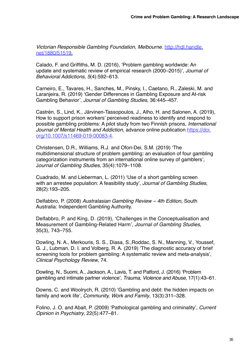*Victorian Responsible Gambling Foundation, Melbourne*. [http://hdl.handle.](http://hdl.handle.net/1880/51519) [net/1880/51519](http://hdl.handle.net/1880/51519).

Calado, F. and Griffiths, M. D. (2016), 'Problem gambling worldwide: An update and systematic review of empirical research (2000–2015)', *Journal of Behavioral Addictions, 5*(4):592–613.

Carneiro, E., Tavares, H., Sanches, M., Pinsky, I., Caetano, R., Zaleski, M. and Laranjeira, R. (2019) 'Gender Differences in Gambling Exposure and At-risk Gambling Behavior', *Journal of Gambling Studies*, 36:445–457.

Castrén, S., Lind, K., Järvinen-Tassopoulos, J., Alho, H. and Salonen, A. (2019), How to support prison workers' perceived readiness to identify and respond to possible gambling problems: A pilot study from two Finnish prisons, *International*  Journal of Mental Health and Addiction, advance online publication [https://doi.](https://doi.org/10.1007/s11469-019-00083-4) [org/10.1007/s11469-019-00083-4](https://doi.org/10.1007/s11469-019-00083-4).

Christensen, D.R., Williams, R.J. and Ofori-Dei, S.M. (2019) 'The multidimensional structure of problem gambling: an evaluation of four gambling categorization instruments from an international online survey of gamblers', J*ournal of Gambling Studies,* 35(4):1079–1108.

Cuadrado, M. and Lieberman, L. (2011) 'Use of a short gambling screen with an arrestee population: A feasibility study', *Journal of Gambling Studies*, 28(2):193–205.

Delfabbro, P. (2008) *Australasian Gambling Review – 4th Edition*, South Australia: Independent Gambling Authority.

Delfabbro, P. and King, D. (2019), 'Challenges in the Conceptualisation and Measurement of Gambling-Related Harm', *Journal of Gambling Studies*, 35(3), 743–755.

Dowling, N. A., Merkouris, S. S., Diasa, S.,Roddac, S. N., Manning, V., Youssef, G. J., Lubman, D. I. and Volberg, R. A. (2019) 'The diagnostic accuracy of brief screening tools for problem gambling: A systematic review and meta-analysis', *Clinical Psychology Review*, 74.

Dowling, N., Suomi, A., Jackson, A., Lavis, T. and Patford, J. (2016) 'Problem gambling and intimate partner violence', *Trauma, Violence and Abuse*, 17(1):43–61.

Downs, C. and Woolrych, R. (2010) 'Gambling and debt: the hidden impacts on family and work life', *Community, Work and Family*, 13(3):311–328.

Folino, J. O. and Abait, P. (2009) 'Pathological gambling and criminality', *Current Opinion in Psychiatry*, 22(5):477–81.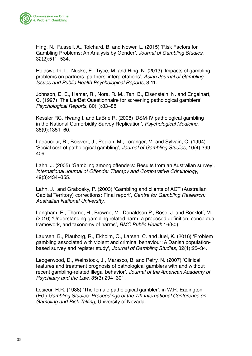

Hing, N., Russell, A., Tolchard, B. and Nower, L. (2015) 'Risk Factors for Gambling Problems: An Analysis by Gender', *Journal of Gambling Studies*, 32(2):511–534.

Holdsworth, L., Nuske, E., Tiyce, M. and Hing, N. (2013) 'Impacts of gambling problems on partners: partners' interpretations', *Asian Journal of Gambling Issues and Public Health Psychological Reports*, 3:11.

Johnson, E. E., Hamer, R., Nora, R. M., Tan, B., Eisenstein, N. and Engelhart, C. (1997) 'The Lie/Bet Questionnaire for screening pathological gamblers', *Psychological Reports*, 80(1):83–88.

Kessler RC, Hwang I. and LaBrie R. (2008) 'DSM-IV pathological gambling in the National Comorbidity Survey Replication', *Psychological Medicine*, 38(9):1351–60.

Ladouceur, R., Boisvert, J., Pepion, M., Loranger, M. and Sylvain, C. (1994) 'Social cost of pathological gambling', *Journal of Gambling Studies*, 10(4):399– 409.

Lahn, J. (2005) 'Gambling among offenders: Results from an Australian survey', *International Journal of Offender Therapy and Comparative Criminology*, 49(3):434–355.

Lahn, J., and Grabosky, P. (2003) 'Gambling and clients of ACT (Australian Capital Territory) corrections: Final report', *Centre for Gambling Research: Australian National University*.

Langham, E., Thorne, H., Browne, M., Donaldson P., Rose, J. and Rockloff, M., (2016) 'Understanding gambling related harm: a proposed definition, conceptual framework, and taxonomy of harms', *BMC Public Health* 16(80).

Laursen, B., Plauborg, R., Ekholm, O., Larsen, C. and Juel, K. (2016) 'Problem gambling associated with violent and criminal behaviour: A Danish populationbased survey and register study', *Journal of Gambling Studies*, 32(1):25–34.

Ledgerwood, D., Weinstock, J., Marasco, B. and Petry, N. (2007) 'Clinical features and treatment prognosis of pathological gamblers with and without recent gambling‐related illegal behavior', *Journal of the American Academy of Psychiatry and the Law*, 35(3):294–301.

Lesieur, H.R. (1988) 'The female pathological gambler', in W.R. Eadington (Ed.) *Gambling Studies: Proceedings of the 7th International Conference on Gambling and Risk Taking*, University of Nevada.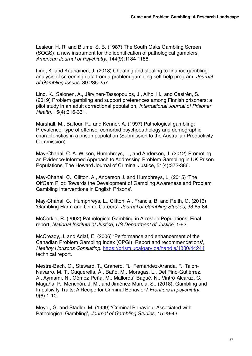Lesieur, H. R. and Blume, S. B. (1987) The South Oaks Gambling Screen (SOGS): a new instrument for the identification of pathological gamblers, *American Journal of Psychiatry*, 144(9):1184‐1188.

Lind, K. and Kääriäinen, J. (2018) Cheating and stealing to finance gambling: analysis of screening data from a problem gambling self-help program, *Journal of Gambling Issues,* 39:235-257.

Lind, K., Salonen, A., Järvinen-Tassopoulos, J., Alho, H., and Castrén, S. (2019) Problem gambling and support preferences among Finnish prisoners: a pilot study in an adult correctional population, *International Journal of Prisoner Health*, 15(4):316-331.

Marshall, M., Balfour, R., and Kenner, A. (1997) Pathological gambling: Prevalence, type of offense, comorbid psychopathology and demographic characteristics in a prison population (Submission to the Australian Productivity Commission).

May-Chahal, C. A. Wilson, Humphreys, L., and Anderson, J. (2012) Promoting an Evidence‐Informed Approach to Addressing Problem Gambling in UK Prison Populations, The Howard Journal of Criminal Justice, 51(4):372-386.

May-Chahal, C., Clifton, A., Anderson J. and Humphreys, L. (2015) 'The OffGam Pilot: Towards the Development of Gambling Awareness and Problem Gambling Interventions in English Prisons'.

May-Chahal, C., Humphreys, L., Clifton, A., Francis, B. and Reith, G. (2016) 'Gambling Harm and Crime Careers', *Journal of Gambling Studies,* 33:65-84.

McCorkle, R. (2002) Pathological Gambling in Arrestee Populations, Final report*, National Institute of Justice, US Department of Justice*, 1-92.

McCready, J. and Adlaf, E. (2006) 'Performance and enhancement of the Canadian Problem Gambling Index (CPGI): Report and recommendations', *Healthy Horizons Consulting*. <https://prism.ucalgary.ca/handle/1880/44244> technical report.

Mestre-Bach, G., Steward, T., Granero, R., Fernández-Aranda, F., Talón-Navarro, M. T., Cuquerella, À., Baño, M., Moragas, L., Del Pino-Gutiérrez, A., Aymamí, N., Gómez-Peña, M., Mallorquí-Bagué, N., Vintró-Alcaraz, C., Magaña, P., Menchón, J. M., and Jiménez-Murcia, S., (2018), Gambling and Impulsivity Traits: A Recipe for Criminal Behavior? *Frontiers in psychiatry*, 9(6):1-10.

Meyer, G. and Stadler, M. (1999) 'Criminal Behaviour Associated with Pathological Gambling', *Journal of Gambling Studies*, 15:29-43.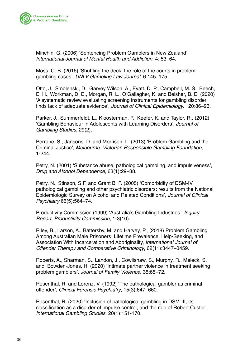

Minchin, G. (2006) 'Sentencing Problem Gamblers in New Zealand'*, International Journal of Mental Health and Addiction,* 4: 53–64.

Moss, C. B. (2016) 'Shuffling the deck: the role of the courts in problem gambling cases', *UNLV Gambling Law Journal*, 6:145–175.

Otto, J., Smolenski, D., Garvey Wilson, A., Evatt, D. P., Campbell, M. S., Beech, E. H., Workman, D. E., Morgan, R. L., O'Gallagher, K. and Belsher, B. E. (2020) 'A systematic review evaluating screening instruments for gambling disorder finds lack of adequate evidence', *Journal of Clinical Epidemiology,* 120:86–93.

Parker, J., Summerfeldt, L., Kloosterman, P., Keefer, K. and Taylor, R., (2012) 'Gambling Behaviour in Adolescents with Learning Disorders', *Journal of Gambling Studies,* 29(2).

Perrone, S., Jansons, D. and Morrison, L. (2013) 'Problem Gambling and the Criminal Justice'*, Melbourne: Victorian Responsible Gambling Foundation*, 1-244.

Petry, N. (2001) 'Substance abuse, pathological gambling, and impulsiveness', *Drug and Alcohol Dependence,* 63(1):29–38.

Petry, N., Stinson, S.F. and Grant B. F. (2005) 'Comorbidity of DSM-IV pathological gambling and other psychiatric disorders: results from the National Epidemiologic Survey on Alcohol and Related Conditions', *Journal of Clinical Psychiatry* 66(5):564–74.

Productivity Commission (1999) 'Australia's Gambling Industries', *Inquiry Report, Productivity Commission*, 1-3(10).

Riley, B., Larson, A., Battersby, M. and Harvey, P., (2018) Problem Gambling Among Australian Male Prisoners: Lifetime Prevalence, Help-Seeking, and Association With Incarceration and Aboriginality, *International Journal of Offender Therapy and Comparative Criminology*, 62(11):3447–3459.

Roberts, A., Sharman, S., Landon, J., Cowlishaw, S., Murphy, R., Meleck, S. and Bowden-Jones, H. (2020) 'Intimate partner violence in treatment seeking problem gamblers', *Journal of Family Violence*, 35:65–72.

Rosenthal, R. and Lorenz, V. (1992) 'The pathological gambler as criminal offender', *Clinical Forensic Psychiatry*, 15(3):647–660.

Rosenthal, R. (2020) 'Inclusion of pathological gambling in DSM-III, its classification as a disorder of impulse control, and the role of Robert Custer', *International Gambling Studies*, 20(1):151-170.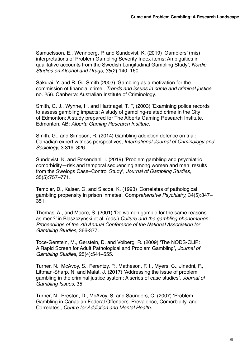Samuelsson, E., Wennberg, P. and Sundqvist, K. (2019) 'Gamblers' (mis) interpretations of Problem Gambling Severity Index items: Ambiguities in qualitative accounts from the Swedish Longitudinal Gambling Study', *Nordic Studies on Alcohol and Drugs, 36*(2):140–160.

Sakurai, Y. and R. G., Smith (2003) 'Gambling as a motivation for the commission of financial crime', *Trends and issues in crime and criminal justice* no. 256. Canberra: Australian Institute of Criminology.

Smith, G. J., Wynne, H. and Hartnagel, T. F, (2003) 'Examining police records to assess gambling impacts: A study of gambling-related crime in the City of Edmonton: A study prepared for The Alberta Gaming Research Institute. Edmonton, AB: *Alberta Gaming Research Institute*.

Smith, G., and Simpson, R. (2014) Gambling addiction defence on trial: Canadian expert witness perspectives, *International Journal of Criminology and Sociology*, 3:319–326.

Sundqvist, K. and Rosendahl, I. (2019) 'Problem gambling and psychiatric comorbidity—risk and temporal sequencing among women and men: results from the Swelogs Case–Control Study', *Journal of Gambling Studies,*  35(5):757–771*.*

Templer, D., Kaiser, G. and Siscoe, K. (1993) 'Correlates of pathological gambling propensity in prison inmates', Comp*rehensive Psychiatry,* 34(5):347– 351.

Thomas, A., and Moore, S. (2001) 'Do women gamble for the same reasons as men?' in Blaszczynski et al. (eds.) *Culture and the gambling phenomenon: Proceedings of the 7th Annual Conference of the National Association for Gambling Studies*, 366-377.

Toce-Gerstein, M., Gerstein, D. and Volberg, R. (2009) 'The NODS-CLiP: A Rapid Screen for Adult Pathological and Problem Gambling', *Journal of Gambling Studies*, 25(4):541–555.

Turner, N., McAvoy, S., Ferentzy, P., Matheson, F. I., Myers, C., Jinadni, F., Littman-Sharp, N. and Malat, J. (2017) 'Addressing the issue of problem gambling in the criminal justice system: A series of case studies', *Journal of Gambling Issues,* 35.

Turner, N., Preston, D., McAvoy, S. and Saunders, C. (2007) 'Problem Gambling in Canadian Federal Offenders: Prevalence, Comorbidity, and Correlates'*, Centre for Addiction and Mental Health.*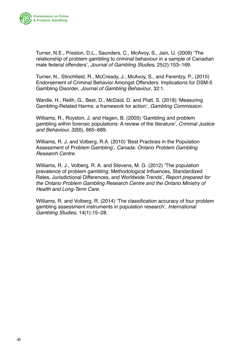

Turner, N.E., Preston, D.L., Saunders, C., McAvoy, S., Jain, U. (2009) 'The relationship of problem gambling to criminal behaviour in a sample of Canadian male federal offenders', *Journal of Gambling Studies*, 25(2):153–169.

Turner, N., Stinchfield, R., McCready, J., McAvoy, S., and Ferentzy, P., (2015) Endorsement of Criminal Behavior Amongst Offenders: Implications for DSM-5 Gambling Disorder, *Journal of Gambling Behaviour*, 32:1.

Wardle, H., Reith, G., Best, D., McDaid, D. and Platt, S. (2018) 'Measuring Gambling-Related Harms: a framework for action', *Gambling Commission.*

Williams, R., Royston, J. and Hagen, B. (2005) 'Gambling and problem gambling within forensic populations: A review of the literature', *Criminal Justice and Behaviour, 32*(6), 665–689.

Williams, R. J. and Volberg, R.A. (2010) 'Best Practices in the Population Assessment of Problem Gambling', *Canada: Ontario Problem Gambling Research Centre.*

Williams, R. J., Volberg, R. A. and Stevens, M. G. (2012) 'The population prevalence of problem gambling: Methodological Influences, Standardized Rates, Jurisdictional Differences, and Worldwide Trends', *Report prepared for the Ontario Problem Gambling Research Centre and the Ontario Ministry of Health and Long-Term Care.*

Williams, R. and Volberg, R. (2014) 'The classification accuracy of four problem gambling assessment instruments in population research', *International Gambling Studies,* 14(1):15–28.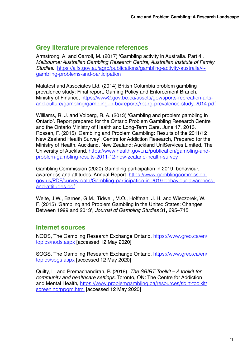#### **Grey literature prevalence references**

Armstrong, A. and Carroll, M. (2017) 'Gambling activity in Australia. Part 4', *Melbourne: Australian Gambling Research Centre, Australian Institute of Family Studies*. [https://aifs.gov.au/agrc/publications/gambling-activity-australia/4](https://aifs.gov.au/agrc/publications/gambling-activity-australia/4-gambling-problems-and-participation) [gambling-problems-and-participation](https://aifs.gov.au/agrc/publications/gambling-activity-australia/4-gambling-problems-and-participation)

Malatest and Associates Ltd. (2014) British Columbia problem gambling prevalence study: Final report, Gaming Policy and Enforcement Branch, Ministry of Finance, [https://www2.gov.bc.ca/assets/gov/sports-recreation-arts](https://www2.gov.bc.ca/assets/gov/sports-recreation-arts-and-culture/gambling/gambling-in-bc/reports/rpt-rg-prevalence-study-2014.pdf)[and-culture/gambling/gambling-in-bc/reports/rpt-rg-prevalence-study-2014.pdf](https://www2.gov.bc.ca/assets/gov/sports-recreation-arts-and-culture/gambling/gambling-in-bc/reports/rpt-rg-prevalence-study-2014.pdf)

Williams, R. J. and Volberg, R. A. (2013) 'Gambling and problem gambling in Ontario'. Report prepared for the Ontario Problem Gambling Research Centre and the Ontario Ministry of Health and Long-Term Care. June 17, 2013. Rossen, F. (2015) 'Gambling and Problem Gambling: Results of the 2011/12 New Zealand Health Survey'*.* Centre for Addiction Research, Prepared for the Ministry of Health. Auckland, New Zealand: Auckland UniServices Limited, The University of Auckland. [https://www.health.govt.nz/publication/gambling-and](https://www.health.govt.nz/publication/gambling-and-problem-gambling-results-2011-12-new-zealand-health-survey)[problem-gambling-results-2011-12-new-zealand-health-survey](https://www.health.govt.nz/publication/gambling-and-problem-gambling-results-2011-12-new-zealand-health-survey)

Gambling Commission (2020) Gambling participation in 2019: behaviour, awareness and attitudes, Annual Report [https://www.gamblingcommission.](https://www.gamblingcommission.gov.uk/PDF/survey-data/Gambling-participation-in-2019-behaviour-awareness-and-attitudes.pdf) [gov.uk/PDF/survey-data/Gambling-participation-in-2019-behaviour-awareness](https://www.gamblingcommission.gov.uk/PDF/survey-data/Gambling-participation-in-2019-behaviour-awareness-and-attitudes.pdf)[and-attitudes.pdf](https://www.gamblingcommission.gov.uk/PDF/survey-data/Gambling-participation-in-2019-behaviour-awareness-and-attitudes.pdf)

Welte, J.W., Barnes, G.M., Tidwell, M.O., Hoffman, J. H. and Wieczorek, W. F. (2015) 'Gambling and Problem Gambling in the United States: Changes Between 1999 and 2013', *Journal of Gambling Studies* 31**,** 695–715

### **Internet sources**

NODS, The Gambling Research Exchange Ontario, [https://www.greo.ca/en/](https://www.greo.ca/en/topics/nods.aspx) [topics/nods.aspx](https://www.greo.ca/en/topics/nods.aspx) [accessed 12 May 2020]

SOGS, The Gambling Research Exchange Ontario, [https://www.greo.ca/en/](https://www.greo.ca/en/topics/sogs.aspx) [topics/sogs.aspx](https://www.greo.ca/en/topics/sogs.aspx) [accessed 12 May 2020]

Quilty, L. and Premachandiran, P. (2018). *The SBIRT Toolkit – A toolkit for community and healthcare settings.* Toronto, ON: The Centre for Addiction and Mental Health**,** [https://www.problemgambling.ca/resources/sbirt-toolkit/](https://www.problemgambling.ca/resources/sbirt-toolkit/screening/ppgm.html) [screening/ppgm.html](https://www.problemgambling.ca/resources/sbirt-toolkit/screening/ppgm.html) [accessed 12 May 2020]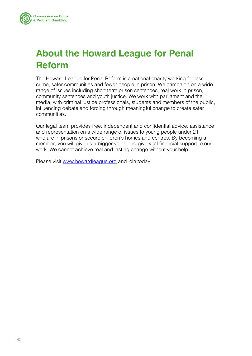<span id="page-41-0"></span>

## **About the Howard League for Penal Reform**

The Howard League for Penal Reform is a national charity working for less crime, safer communities and fewer people in prison. We campaign on a wide range of issues including short term prison sentences, real work in prison, community sentences and youth justice. We work with parliament and the media, with criminal justice professionals, students and members of the public, influencing debate and forcing through meaningful change to create safer communities.

Our legal team provides free, independent and confidential advice, assistance and representation on a wide range of issues to young people under 21 who are in prisons or secure children's homes and centres. By becoming a member, you will give us a bigger voice and give vital financial support to our work. We cannot achieve real and lasting change without your help.

Please visit [www.howardleague.org](http://www.howardleague.org) and join today.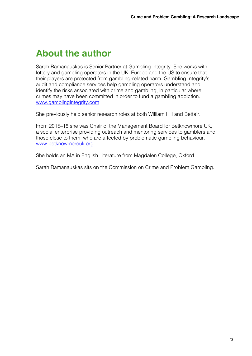### <span id="page-42-0"></span>**About the author**

Sarah Ramanauskas is Senior Partner at Gambling Integrity. She works with lottery and gambling operators in the UK, Europe and the US to ensure that their players are protected from gambling-related harm. Gambling Integrity's audit and compliance services help gambling operators understand and identify the risks associated with crime and gambling, in particular where crimes may have been committed in order to fund a gambling addiction. [www.gamblingintegrity.com](https://www.gamblingintegrity.com/)

She previously held senior research roles at both William Hill and Betfair.

From 2015–18 she was Chair of the Management Board for Betknowmore UK, a social enterprise providing outreach and mentoring services to gamblers and those close to them, who are affected by problematic gambling behaviour. [www.betknowmoreuk.org](http://www.betknowmoreuk.org)

She holds an MA in English Literature from Magdalen College, Oxford.

Sarah Ramanauskas sits on the Commission on Crime and Problem Gambling.